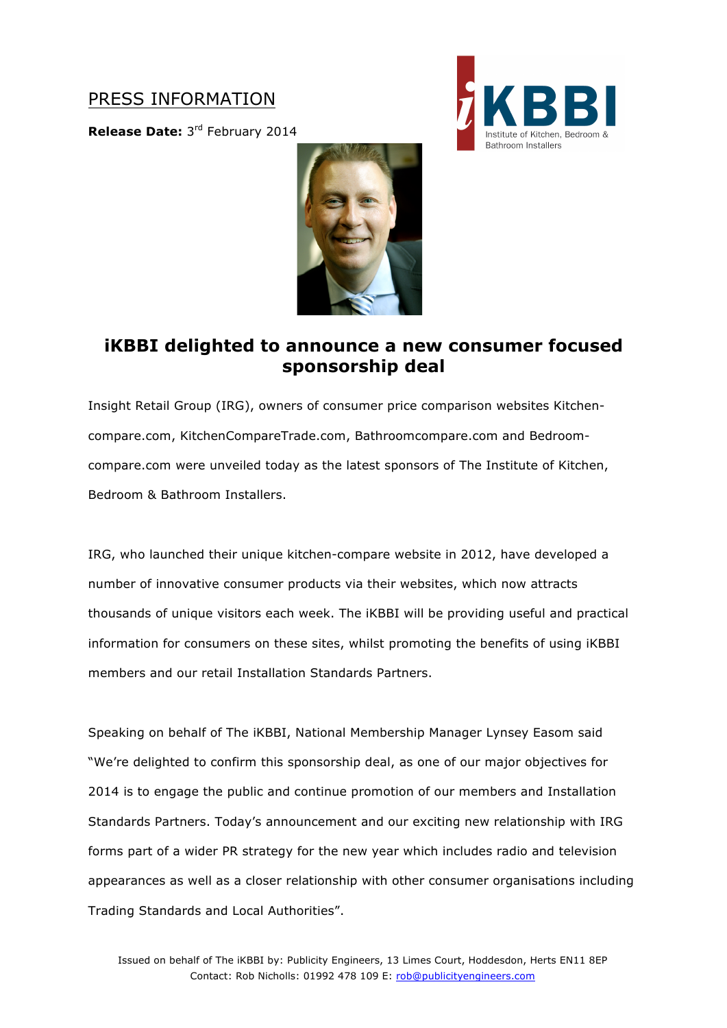## PRESS INFORMATION

**Release Date:** 3rd February 2014





## **iKBBI delighted to announce a new consumer focused sponsorship deal**

Insight Retail Group (IRG), owners of consumer price comparison websites Kitchencompare.com, KitchenCompareTrade.com, Bathroomcompare.com and Bedroomcompare.com were unveiled today as the latest sponsors of The Institute of Kitchen, Bedroom & Bathroom Installers.

IRG, who launched their unique kitchen-compare website in 2012, have developed a number of innovative consumer products via their websites, which now attracts thousands of unique visitors each week. The iKBBI will be providing useful and practical information for consumers on these sites, whilst promoting the benefits of using iKBBI members and our retail Installation Standards Partners.

Speaking on behalf of The iKBBI, National Membership Manager Lynsey Easom said "We're delighted to confirm this sponsorship deal, as one of our major objectives for 2014 is to engage the public and continue promotion of our members and Installation Standards Partners. Today's announcement and our exciting new relationship with IRG forms part of a wider PR strategy for the new year which includes radio and television appearances as well as a closer relationship with other consumer organisations including Trading Standards and Local Authorities".